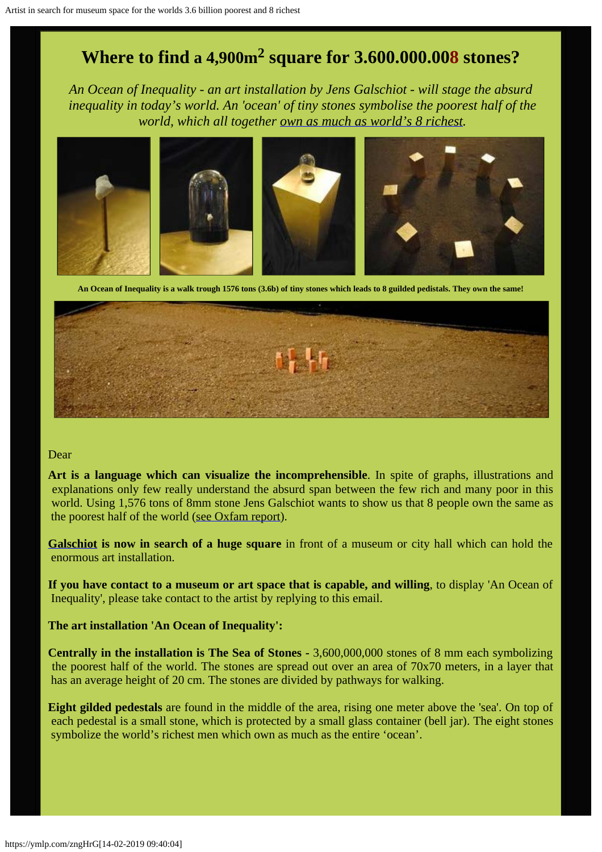### **Where to find a 4,900m2 square for 3.600.000.008 stones?**

*An Ocean of Inequality - an art installation by Jens Galschiot - will stage the absurd inequality in today's world. An 'ocean' of tiny stones symbolise the poorest half of the world, which all together [own as much as world's 8 richest](https://www.oxfam.org/en/pressroom/pressreleases/2017-01-16/just-8-men-own-same-wealth-half-world).*



**An Ocean of Inequality is a walk trough 1576 tons (3.6b) of tiny stones which leads to 8 guilded pedistals. They own the same!**



#### Dear

**Art is a language which can visualize the incomprehensible**. In spite of graphs, illustrations and explanations only few really understand the absurd span between the few rich and many poor in this world. Using 1,576 tons of 8mm stone Jens Galschiot wants to show us that 8 people own the same as the poorest half of the world ([see Oxfam report](https://www.oxfam.org/en/pressroom/pressreleases/2017-01-16/just-8-men-own-same-wealth-half-world)).

**[Galschiot](https://en.wikipedia.org/wiki/Jens_Galschi%C3%B8t) is now in search of a huge square** in front of a museum or city hall which can hold the enormous art installation.

**If you have contact to a museum or art space that is capable, and willing**, to display 'An Ocean of Inequality', please take contact to the artist by replying to this email.

#### **The art installation 'An Ocean of Inequality':**

**Centrally in the installation is The Sea of Stones -** 3,600,000,000 stones of 8 mm each symbolizing the poorest half of the world. The stones are spread out over an area of 70x70 meters, in a layer that has an average height of 20 cm. The stones are divided by pathways for walking.

**Eight gilded pedestals** are found in the middle of the area, rising one meter above the 'sea'. On top of each pedestal is a small stone, which is protected by a small glass container (bell jar). The eight stones symbolize the world's richest men which own as much as the entire 'ocean'.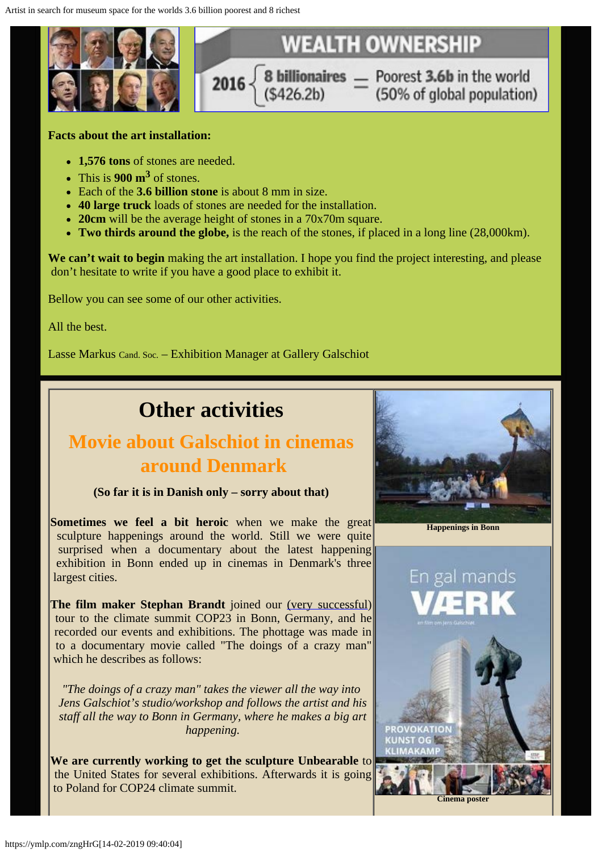

#### **Facts about the art installation:**

- **1,576 tons** of stones are needed.
- $\cdot$  This is **900 m<sup>3</sup>** of stones.
- Each of the **3.6 billion stone** is about 8 mm in size.
- **40 large truck** loads of stones are needed for the installation.
- **20cm** will be the average height of stones in a 70x70m square.
- **Two thirds around the globe,** is the reach of the stones, if placed in a long line (28,000km).

We can't wait to begin making the art installation. I hope you find the project interesting, and please don't hesitate to write if you have a good place to exhibit it.

Bellow you can see some of our other activities.

All the best.

Lasse Markus Cand. Soc. – Exhibition Manager at Gallery Galschiot

# **Other activities**

### **Movie about Galschiot in cinemas around Denmark**

**(So far it is in Danish only – sorry about that)**

**Sometimes we feel a bit heroic** when we make the great sculpture happenings around the world. Still we were quite surprised when a documentary about the latest happening exhibition in Bonn ended up in cinemas in Denmark's three largest cities.

**The film maker Stephan Brandt** joined our [\(very successful](http://www.galschiot.com/cop23-in-bonn/)) tour to the climate summit COP23 in Bonn, Germany, and he recorded our events and exhibitions. The phottage was made in to a documentary movie called "The doings of a crazy man" which he describes as follows:

*"The doings of a crazy man" takes the viewer all the way into Jens Galschiot's studio/workshop and follows the artist and his staff all the way to Bonn in Germany, where he makes a big art happening.*

**We are currently working to get the sculpture Unbearable** to the United States for several exhibitions. Afterwards it is going to Poland for COP24 climate summit.



**Happenings in Bonn**

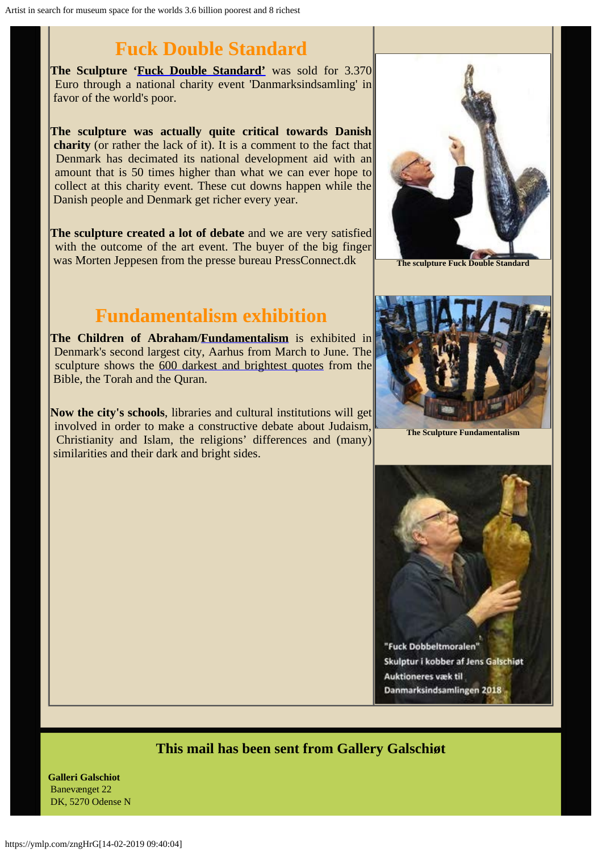## **Fuck Double Standard**

**The Sculpture ['Fuck Double Standard'](http://www.galschiot.com/fuck-dobbeltmoralen/)** was sold for 3.370 Euro through a national charity event 'Danmarksindsamling' in favor of the world's poor.

**The sculpture was actually quite critical towards Danish charity** (or rather the lack of it). It is a comment to the fact that Denmark has decimated its national development aid with an amount that is 50 times higher than what we can ever hope to collect at this charity event. These cut downs happen while the Danish people and Denmark get richer every year.

**The sculpture created a lot of debate** and we are very satisfied with the outcome of the art event. The buyer of the big finger was Morten Jeppesen from the presse bureau PressConnect.dk

### **Fundamentalism exhibition**

**The Children of Abraham[/Fundamentalism](http://fundamentalism.dk/en/)** is exhibited in Denmark's second largest city, Aarhus from March to June. The sculpture shows the [600 darkest and brightest quotes](http://www.fundamentalism.dk/quotesearch/index.php?lang=GB) from the Bible, the Torah and the Quran.

**Now the city's schools**, libraries and cultural institutions will get involved in order to make a constructive debate about Judaism, Christianity and Islam, the religions' differences and (many) similarities and their dark and bright sides.



**The sculpture Fuck Double Standard**



**The Sculpture Fundamentalism**



### **This mail has been sent from Gallery Galschiøt**

**Galleri Galschiot** Banevænget 22 DK, 5270 Odense N